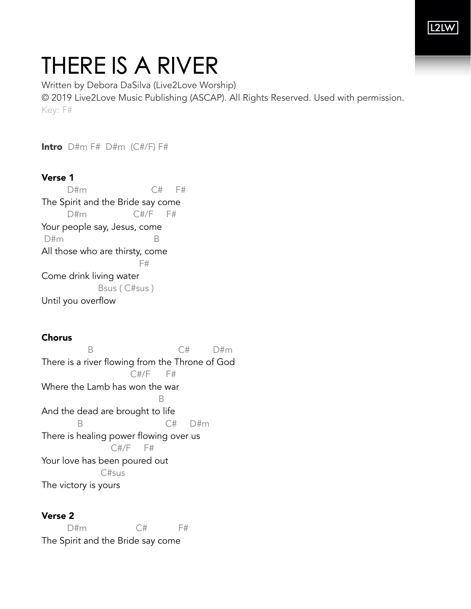# THERE IS A RIVER

Written by Debora DaSilva (Live2Love Worship) © 2019 Live2Love Music Publishing (ASCAP). All Rights Reserved. Used with permission. Key: F#

Intro D#m F# D#m (C#/F) F#

## Verse 1

 D#m C# F# The Spirit and the Bride say come D#m C#/F F# Your people say, Jesus, come D#m B All those who are thirsty, come **F#** Come drink living water Bsus ( C#sus ) Until you overflow

### Chorus

B C# D#m There is a river flowing from the Throne of God C#/F F# Where the Lamb has won the war B And the dead are brought to life B C# D#m There is healing power flowing over us C#/F F# Your love has been poured out C#sus The victory is yours

### Verse 2

D#m C# F# The Spirit and the Bride say come